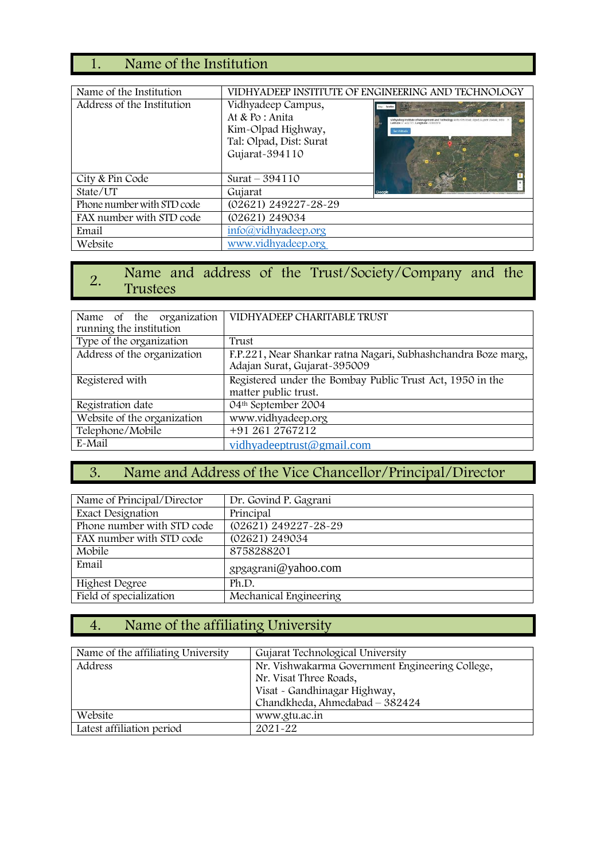# 1. Name of the Institution

| Name of the Institution    |                                                                                                          | VIDHYADEEP INSTITUTE OF ENGINEERING AND TECHNOLOGY                                 |
|----------------------------|----------------------------------------------------------------------------------------------------------|------------------------------------------------------------------------------------|
| Address of the Institution | Vidhyadeep Campus,<br>At & Po : Anita<br>Kim-Olpad Highway,<br>Tal: Olpad, Dist: Surat<br>Gujarat-394110 | <b>BUT CHARGED</b><br>Lettrade: 11 433737 Longitude: 72 84091<br><b>Get Antius</b> |
| City & Pin Code            | Surat $-394110$                                                                                          |                                                                                    |
| State/UT                   | Gujarat                                                                                                  |                                                                                    |
| Phone number with STD code | (02621) 249227-28-29                                                                                     |                                                                                    |
| FAX number with STD code   | (02621) 249034                                                                                           |                                                                                    |
| Email                      | info@vidhyadeep.org                                                                                      |                                                                                    |
| Website                    | www.vidhyadeep.org                                                                                       |                                                                                    |

### 2. Name and address of the Trust/Society/Company and the Trustees Trustees

| Name of the organization    | VIDHYADEEP CHARITABLE TRUST                                                                   |
|-----------------------------|-----------------------------------------------------------------------------------------------|
|                             |                                                                                               |
| running the institution     |                                                                                               |
| Type of the organization    | Trust                                                                                         |
| Address of the organization | F.P.221, Near Shankar ratna Nagari, Subhashchandra Boze marg,<br>Adajan Surat, Gujarat-395009 |
| Registered with             | Registered under the Bombay Public Trust Act, 1950 in the<br>matter public trust.             |
| Registration date           | 04th September 2004                                                                           |
| Website of the organization | www.vidhyadeep.org                                                                            |
| Telephone/Mobile            | +91 261 2767212                                                                               |
| E-Mail                      | vidhyadeeptrust@gmail.com                                                                     |

# 3. Name and Address of the Vice Chancellor/Principal/Director

| Name of Principal/Director | Dr. Govind P. Gagrani      |
|----------------------------|----------------------------|
| Exact Designation          | Principal                  |
| Phone number with STD code | $(02621) 249227 - 28 - 29$ |
| FAX number with STD code   | (02621) 249034             |
| Mobile                     | 8758288201                 |
| Email                      | gpgagrani@yahoo.com        |
| <b>Highest Degree</b>      | Ph.D.                      |
| Field of specialization    | Mechanical Engineering     |

# 4. Name of the affiliating University

| Name of the affiliating University | Gujarat Technological University                |
|------------------------------------|-------------------------------------------------|
| Address                            | Nr. Vishwakarma Government Engineering College, |
|                                    | Nr. Visat Three Roads,                          |
|                                    | Visat - Gandhinagar Highway,                    |
|                                    | Chandkheda, Ahmedabad - 382424                  |
| Website                            | www.gtu.ac.in                                   |
| Latest affiliation period          | $2021 - 22$                                     |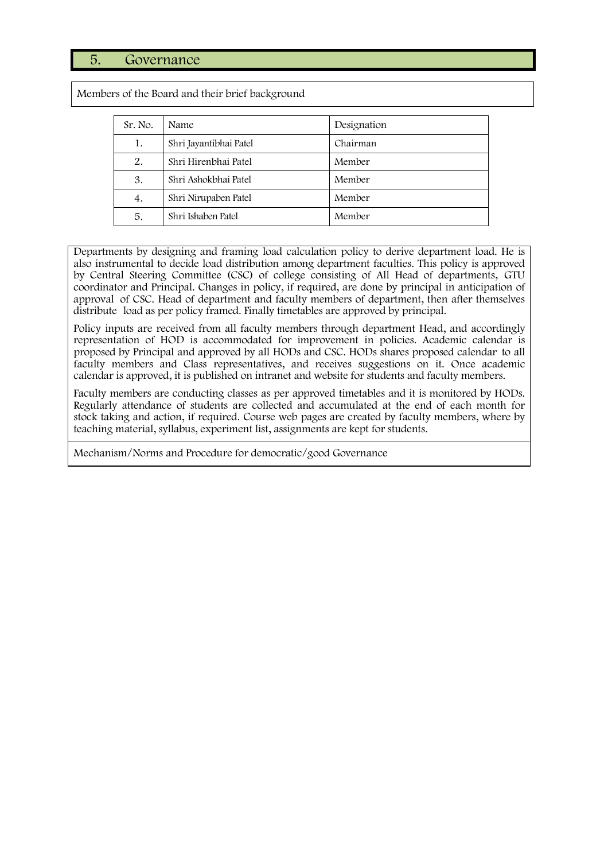#### 5. Governance

Members of the Board and their brief background

| Sr. No. | Name                   | Designation |
|---------|------------------------|-------------|
| 1.      | Shri Jayantibhai Patel | Chairman    |
| 2.      | Shri Hirenbhai Patel   | Member      |
| 3.      | Shri Ashokbhai Patel   | Member      |
| 4.      | Shri Nirupaben Patel   | Member      |
| 5.      | Shri Ishaben Patel     | Member      |

Departments by designing and framing load calculation policy to derive department load. He is also instrumental to decide load distribution among department faculties. This policy is approved by Central Steering Committee (CSC) of college consisting of All Head of departments, GTU coordinator and Principal. Changes in policy, if required, are done by principal in anticipation of approval of CSC. Head of department and faculty members of department, then after themselves distribute load as per policy framed. Finally timetables are approved by principal.

Policy inputs are received from all faculty members through department Head, and accordingly representation of HOD is accommodated for improvement in policies. Academic calendar is proposed by Principal and approved by all HODs and CSC. HODs shares proposed calendar to all faculty members and Class representatives, and receives suggestions on it. Once academic calendar is approved, it is published on intranet and website for students and faculty members.

Faculty members are conducting classes as per approved timetables and it is monitored by HODs. Regularly attendance of students are collected and accumulated at the end of each month for stock taking and action, if required. Course web pages are created by faculty members, where by teaching material, syllabus, experiment list, assignments are kept for students.

Mechanism/Norms and Procedure for democratic/good Governance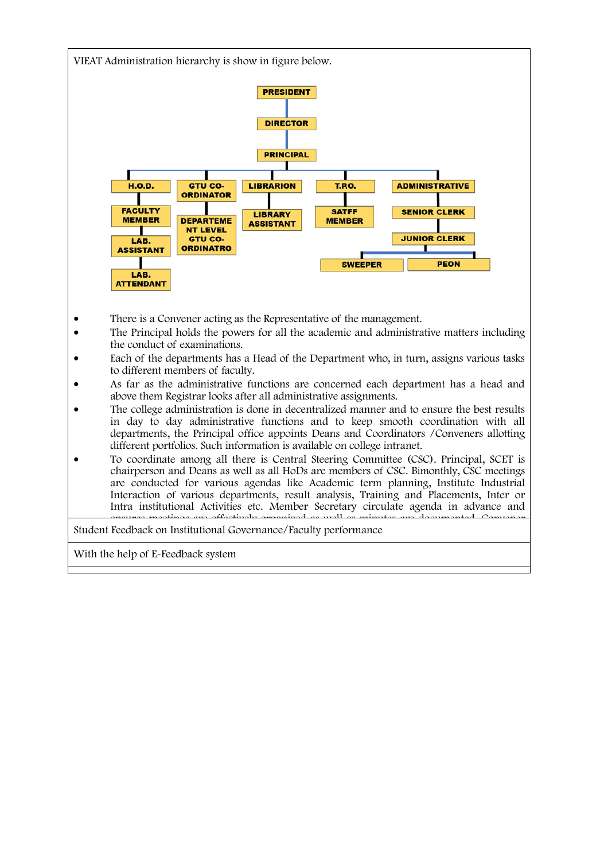

- There is a Convener acting as the Representative of the management.
- The Principal holds the powers for all the academic and administrative matters including the conduct of examinations.
- Each of the departments has a Head of the Department who, in turn, assigns various tasks to different members of faculty.
- As far as the administrative functions are concerned each department has a head and above them Registrar looks after all administrative assignments.
- The college administration is done in decentralized manner and to ensure the best results in day to day administrative functions and to keep smooth coordination with all departments, the Principal office appoints Deans and Coordinators /Conveners allotting different portfolios. Such information is available on college intranet.
- To coordinate among all there is Central Steering Committee (CSC). Principal, SCET is chairperson and Deans as well as all HoDs are members of CSC. Bimonthly, CSC meetings are conducted for various agendas like Academic term planning, Institute Industrial Interaction of various departments, result analysis, Training and Placements, Inter or Intra institutional Activities etc. Member Secretary circulate agenda in advance and ensures meetings are effectively organized as well as minutes are documented Convener

Student Feedback on Institutional Governance/Faculty performance

With the help of E-Feedback system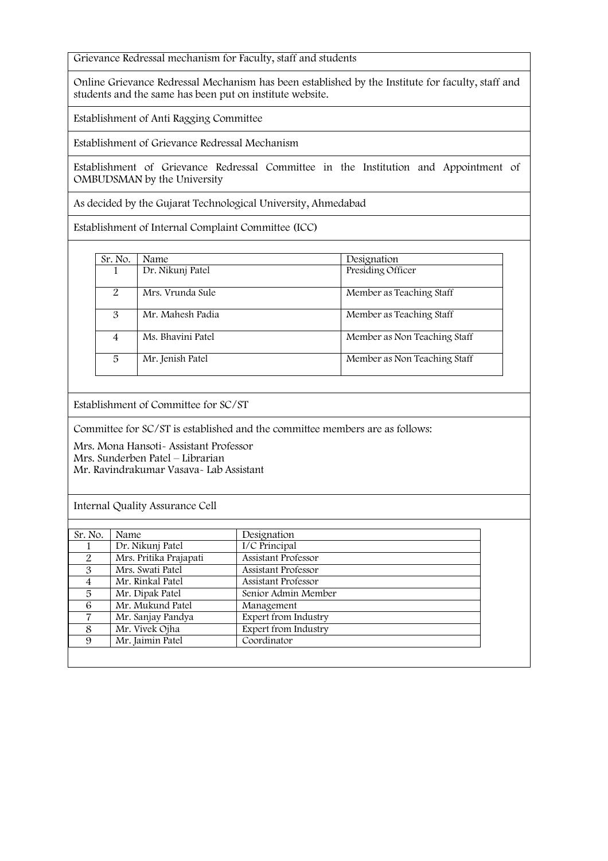Grievance Redressal mechanism for Faculty, staff and students

Online Grievance Redressal Mechanism has been established by the Institute for faculty, staff and students and the same has been put on institute website.

Establishment of Anti Ragging Committee

Establishment of Grievance Redressal Mechanism

Establishment of Grievance Redressal Committee in the Institution and Appointment of OMBUDSMAN by the University

As decided by the Gujarat Technological University, Ahmedabad

Establishment of Internal Complaint Committee (ICC)

| Sr. No. | Name              | Designation                  |
|---------|-------------------|------------------------------|
|         | Dr. Nikunj Patel  | Presiding Officer            |
| 2       | Mrs. Vrunda Sule  | Member as Teaching Staff     |
| 3       | Mr. Mahesh Padia  | Member as Teaching Staff     |
| 4       | Ms. Bhavini Patel | Member as Non Teaching Staff |
| 5       | Mr. Jenish Patel  | Member as Non Teaching Staff |

Establishment of Committee for SC/ST

Committee for SC/ST is established and the committee members are as follows:

Mrs. Mona Hansoti- Assistant Professor Mrs. Sunderben Patel – Librarian Mr. Ravindrakumar Vasava- Lab Assistant

Internal Quality Assurance Cell

| Sr. No. | Name                   | Designation          |
|---------|------------------------|----------------------|
|         | Dr. Nikunj Patel       | I/C Principal        |
| 2       | Mrs. Pritika Prajapati | Assistant Professor  |
| 3       | Mrs. Swati Patel       | Assistant Professor  |
|         | Mr. Rinkal Patel       | Assistant Professor  |
| 5       | Mr. Dipak Patel        | Senior Admin Member  |
| 6       | Mr. Mukund Patel       | Management           |
| 7       | Mr. Sanjay Pandya      | Expert from Industry |
| 8       | Mr. Vivek Ojha         | Expert from Industry |
| 9       | Mr. Jaimin Patel       | Coordinator          |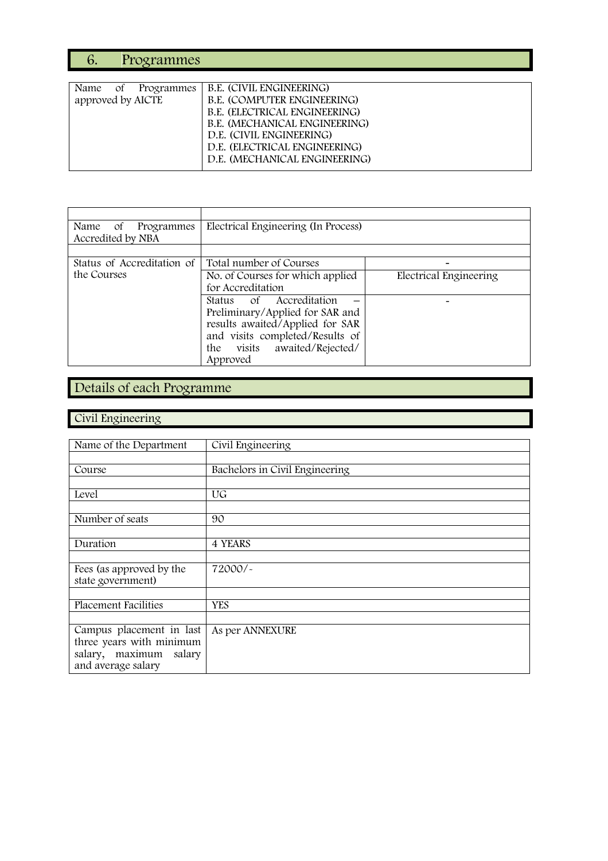# 6. Programmes

| B.E. (CIVIL ENGINEERING)      |
|-------------------------------|
| B.E. (COMPUTER ENGINEERING)   |
| B.E. (ELECTRICAL ENGINEERING) |
| B.E. (MECHANICAL ENGINEERING) |
| D.E. (CIVIL ENGINEERING)      |
| D.E. (ELECTRICAL ENGINEERING) |
| D.E. (MECHANICAL ENGINEERING) |
|                               |

| Name of<br>Programmes<br>Accredited by NBA | Electrical Engineering (In Process)                                                                                                                                             |                        |
|--------------------------------------------|---------------------------------------------------------------------------------------------------------------------------------------------------------------------------------|------------------------|
|                                            |                                                                                                                                                                                 |                        |
| Status of Accreditation of                 | Total number of Courses                                                                                                                                                         |                        |
| the Courses                                | No. of Courses for which applied<br>for Accreditation                                                                                                                           | Electrical Engineering |
|                                            | Status of Accreditation<br>Preliminary/Applied for SAR and<br>results awaited/Applied for SAR<br>and visits completed/Results of<br>visits awaited/Rejected/<br>the<br>Approved |                        |

# Details of each Programme

### Civil Engineering

| Name of the Department      | Civil Engineering              |
|-----------------------------|--------------------------------|
|                             |                                |
|                             |                                |
| Course                      | Bachelors in Civil Engineering |
|                             |                                |
| Level                       | UG                             |
|                             |                                |
| Number of seats             | 90                             |
|                             |                                |
| Duration                    | 4 YEARS                        |
|                             |                                |
| Fees (as approved by the    | 72000/-                        |
| state government)           |                                |
|                             |                                |
| <b>Placement Facilities</b> | <b>YES</b>                     |
|                             |                                |
| Campus placement in last    | As per ANNEXURE                |
| three years with minimum    |                                |
| salary, maximum salary      |                                |
| and average salary          |                                |
|                             |                                |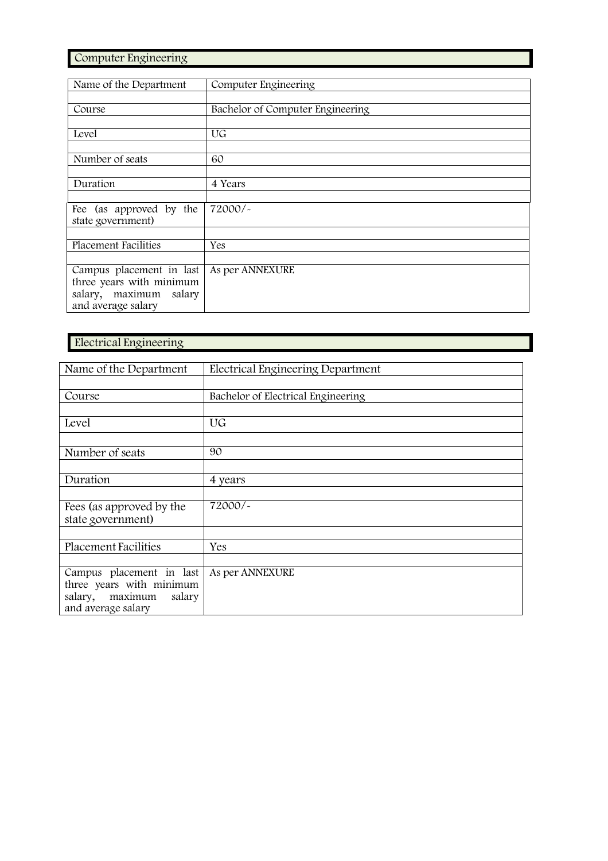Computer Engineering

| Name of the Department      | Computer Engineering             |
|-----------------------------|----------------------------------|
|                             |                                  |
| Course                      | Bachelor of Computer Engineering |
|                             |                                  |
| Level                       | UG                               |
|                             |                                  |
| Number of seats             | 60                               |
|                             |                                  |
| Duration                    | 4 Years                          |
|                             |                                  |
| Fee (as approved by the     | 72000/~                          |
| state government)           |                                  |
|                             |                                  |
| <b>Placement Facilities</b> | Yes                              |
|                             |                                  |
| Campus placement in last    | As per ANNEXURE                  |
| three years with minimum    |                                  |
| salary, maximum salary      |                                  |
| and average salary          |                                  |

#### Electrical Engineering

| Name of the Department                                                                                                                                      | Electrical Engineering Department  |
|-------------------------------------------------------------------------------------------------------------------------------------------------------------|------------------------------------|
|                                                                                                                                                             |                                    |
| Course                                                                                                                                                      | Bachelor of Electrical Engineering |
|                                                                                                                                                             |                                    |
| Level                                                                                                                                                       | UG                                 |
|                                                                                                                                                             |                                    |
| Number of seats                                                                                                                                             | 90                                 |
|                                                                                                                                                             |                                    |
| Duration                                                                                                                                                    | 4 years                            |
|                                                                                                                                                             |                                    |
| Fees (as approved by the                                                                                                                                    | 72000/~                            |
|                                                                                                                                                             |                                    |
|                                                                                                                                                             |                                    |
|                                                                                                                                                             | Yes                                |
|                                                                                                                                                             |                                    |
|                                                                                                                                                             |                                    |
|                                                                                                                                                             |                                    |
|                                                                                                                                                             |                                    |
| state government)<br><b>Placement Facilities</b><br>Campus placement in last<br>three years with minimum<br>salary, maximum<br>salary<br>and average salary | As per ANNEXURE                    |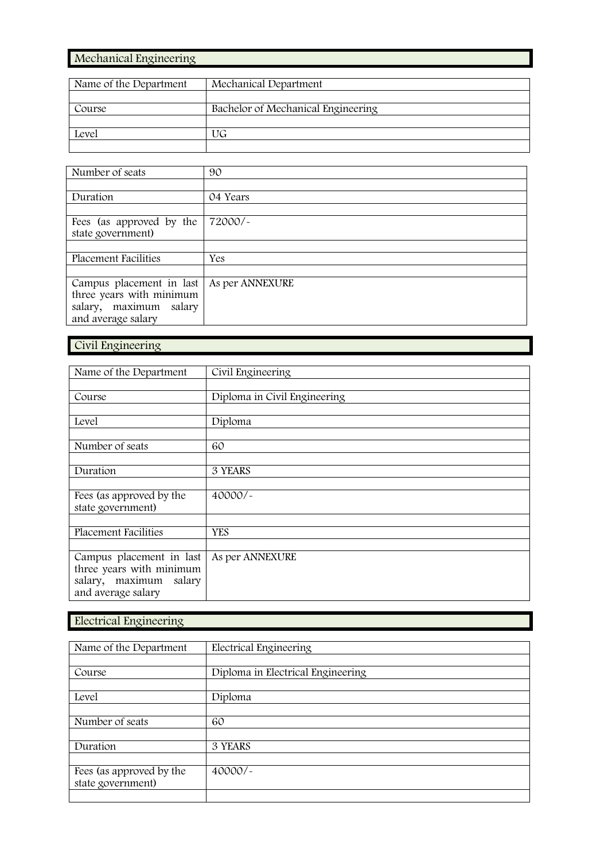### Mechanical Engineering

| Name of the Department | Mechanical Department              |
|------------------------|------------------------------------|
|                        |                                    |
| Course                 | Bachelor of Mechanical Engineering |
|                        |                                    |
| Level                  | UG                                 |
|                        |                                    |

| Number of seats             | 90              |
|-----------------------------|-----------------|
|                             |                 |
| Duration                    | 04 Years        |
|                             |                 |
| Fees (as approved by the    | 72000/~         |
| state government)           |                 |
|                             |                 |
| <b>Placement Facilities</b> | Yes             |
|                             |                 |
| Campus placement in last    | As per ANNEXURE |
| three years with minimum    |                 |
| salary, maximum<br>salary   |                 |
| and average salary          |                 |

# Civil Engineering

| Name of the Department                               | Civil Engineering            |
|------------------------------------------------------|------------------------------|
|                                                      |                              |
| Course                                               | Diploma in Civil Engineering |
|                                                      |                              |
| Level                                                | Diploma                      |
|                                                      |                              |
| Number of seats                                      | 60                           |
|                                                      |                              |
| Duration                                             | 3 YEARS                      |
|                                                      |                              |
| Fees (as approved by the                             | $40000/-$                    |
| state government)                                    |                              |
|                                                      |                              |
| <b>Placement Facilities</b>                          | <b>YES</b>                   |
|                                                      |                              |
| Campus placement in last<br>three years with minimum | As per ANNEXURE              |
| salary, maximum salary                               |                              |
| and average salary                                   |                              |

# Electrical Engineering

| Name of the Department                        | Electrical Engineering            |
|-----------------------------------------------|-----------------------------------|
|                                               |                                   |
| Course                                        | Diploma in Electrical Engineering |
|                                               |                                   |
| Level                                         | Diploma                           |
|                                               |                                   |
| Number of seats                               | 60                                |
|                                               |                                   |
| Duration                                      | 3 YEARS                           |
|                                               |                                   |
| Fees (as approved by the<br>state government) | $40000/-$                         |
|                                               |                                   |